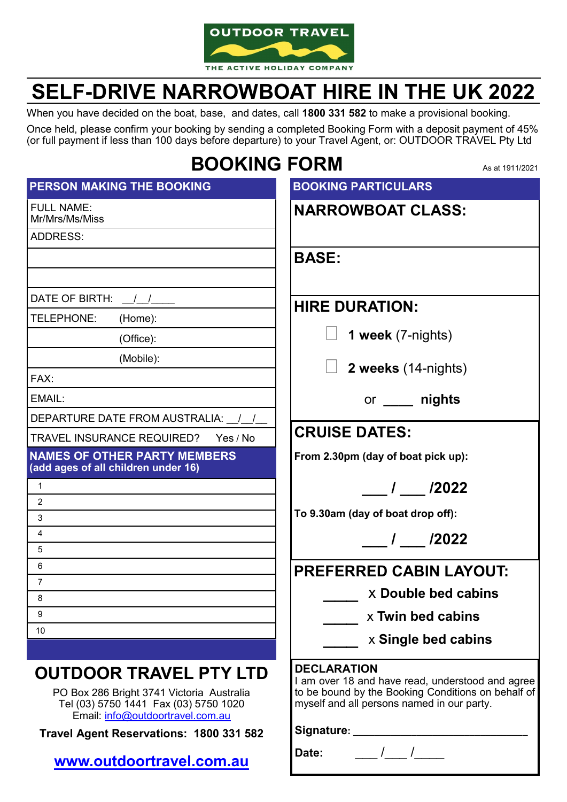

# **SELF-DRIVE NARROWBOAT HIRE IN THE UK 2022**

When you have decided on the boat, base, and dates, call **1800 331 582** to make a provisional booking.

Once held, please confirm your booking by sending a completed Booking Form with a deposit payment of 45% (or full payment if less than 100 days before departure) to your Travel Agent, or: OUTDOOR TRAVEL Pty Ltd

## **BOOKING FORM**

As at 1911/2021

| PERSON MAKING THE BOOKING                                                                                                                                                                          | <b>BOOKING PARTICULARS</b>                                                                                                                                                                                   |
|----------------------------------------------------------------------------------------------------------------------------------------------------------------------------------------------------|--------------------------------------------------------------------------------------------------------------------------------------------------------------------------------------------------------------|
| <b>FULL NAME:</b><br>Mr/Mrs/Ms/Miss                                                                                                                                                                | <b>NARROWBOAT CLASS:</b>                                                                                                                                                                                     |
| <b>ADDRESS:</b>                                                                                                                                                                                    |                                                                                                                                                                                                              |
|                                                                                                                                                                                                    | <b>BASE:</b>                                                                                                                                                                                                 |
| DATE OF BIRTH: $\frac{1}{2}$                                                                                                                                                                       | <b>HIRE DURATION:</b>                                                                                                                                                                                        |
| TELEPHONE:<br>(Home):                                                                                                                                                                              |                                                                                                                                                                                                              |
| (Office):                                                                                                                                                                                          | 1 week (7-nights)                                                                                                                                                                                            |
| (Mobile):<br>FAX:                                                                                                                                                                                  | 2 weeks (14-nights)                                                                                                                                                                                          |
| EMAIL:                                                                                                                                                                                             | or _____ nights                                                                                                                                                                                              |
| DEPARTURE DATE FROM AUSTRALIA: \[/                                                                                                                                                                 | <b>CRUISE DATES:</b>                                                                                                                                                                                         |
| <b>TRAVEL INSURANCE REQUIRED?</b><br>Yes / No                                                                                                                                                      |                                                                                                                                                                                                              |
| <b>NAMES OF OTHER PARTY MEMBERS</b><br>(add ages of all children under 16)                                                                                                                         | From 2.30pm (day of boat pick up):                                                                                                                                                                           |
| $\mathbf{1}$                                                                                                                                                                                       | $\frac{1}{2022}$                                                                                                                                                                                             |
| $\overline{2}$                                                                                                                                                                                     |                                                                                                                                                                                                              |
| 3                                                                                                                                                                                                  | To 9.30am (day of boat drop off):                                                                                                                                                                            |
| 4<br>5                                                                                                                                                                                             | $\frac{1}{2022}$                                                                                                                                                                                             |
| 6                                                                                                                                                                                                  |                                                                                                                                                                                                              |
| $\overline{7}$                                                                                                                                                                                     | PREFERRED CABIN LAYOUT:                                                                                                                                                                                      |
| 8                                                                                                                                                                                                  | <b>X Double bed cabins</b>                                                                                                                                                                                   |
| 9                                                                                                                                                                                                  | x Twin bed cabins                                                                                                                                                                                            |
| 10                                                                                                                                                                                                 | x Single bed cabins                                                                                                                                                                                          |
| <b>OUTDOOR TRAVEL PTY LTD</b><br>PO Box 286 Bright 3741 Victoria Australia<br>Tel (03) 5750 1441 Fax (03) 5750 1020<br>Email: info@outdoortravel.com.au<br>Travel Agent Reservations: 1800 331 582 | <b>DECLARATION</b><br>I am over 18 and have read, understood and agree<br>to be bound by the Booking Conditions on behalf of<br>myself and all persons named in our party.<br>Signature: ___________________ |
| www.outdoortravel.com.au                                                                                                                                                                           | Date:                                                                                                                                                                                                        |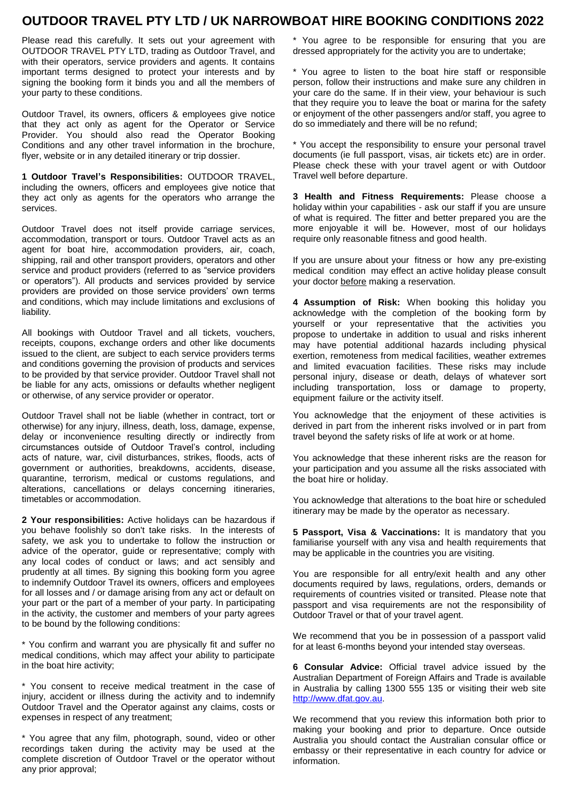### **OUTDOOR TRAVEL PTY LTD / UK NARROWBOAT HIRE BOOKING CONDITIONS 2022**

Please read this carefully. It sets out your agreement with OUTDOOR TRAVEL PTY LTD, trading as Outdoor Travel, and with their operators, service providers and agents. It contains important terms designed to protect your interests and by signing the booking form it binds you and all the members of your party to these conditions.

Outdoor Travel, its owners, officers & employees give notice that they act only as agent for the Operator or Service Provider. You should also read the Operator Booking Conditions and any other travel information in the brochure, flyer, website or in any detailed itinerary or trip dossier.

**1 Outdoor Travel's Responsibilities:** OUTDOOR TRAVEL, including the owners, officers and employees give notice that they act only as agents for the operators who arrange the services.

Outdoor Travel does not itself provide carriage services, accommodation, transport or tours. Outdoor Travel acts as an agent for boat hire, accommodation providers, air, coach, shipping, rail and other transport providers, operators and other service and product providers (referred to as "service providers or operators"). All products and services provided by service providers are provided on those service providers' own terms and conditions, which may include limitations and exclusions of liability.

All bookings with Outdoor Travel and all tickets, vouchers, receipts, coupons, exchange orders and other like documents issued to the client, are subject to each service providers terms and conditions governing the provision of products and services to be provided by that service provider. Outdoor Travel shall not be liable for any acts, omissions or defaults whether negligent or otherwise, of any service provider or operator.

Outdoor Travel shall not be liable (whether in contract, tort or otherwise) for any injury, illness, death, loss, damage, expense, delay or inconvenience resulting directly or indirectly from circumstances outside of Outdoor Travel's control, including acts of nature, war, civil disturbances, strikes, floods, acts of government or authorities, breakdowns, accidents, disease, quarantine, terrorism, medical or customs regulations, and alterations, cancellations or delays concerning itineraries, timetables or accommodation.

**2 Your responsibilities:** Active holidays can be hazardous if you behave foolishly so don't take risks. In the interests of safety, we ask you to undertake to follow the instruction or advice of the operator, guide or representative; comply with any local codes of conduct or laws; and act sensibly and prudently at all times. By signing this booking form you agree to indemnify Outdoor Travel its owners, officers and employees for all losses and / or damage arising from any act or default on your part or the part of a member of your party. In participating in the activity, the customer and members of your party agrees to be bound by the following conditions:

\* You confirm and warrant you are physically fit and suffer no medical conditions, which may affect your ability to participate in the boat hire activity;

\* You consent to receive medical treatment in the case of injury, accident or illness during the activity and to indemnify Outdoor Travel and the Operator against any claims, costs or expenses in respect of any treatment;

\* You agree that any film, photograph, sound, video or other recordings taken during the activity may be used at the complete discretion of Outdoor Travel or the operator without any prior approval;

\* You agree to be responsible for ensuring that you are dressed appropriately for the activity you are to undertake;

\* You agree to listen to the boat hire staff or responsible person, follow their instructions and make sure any children in your care do the same. If in their view, your behaviour is such that they require you to leave the boat or marina for the safety or enjoyment of the other passengers and/or staff, you agree to do so immediately and there will be no refund;

\* You accept the responsibility to ensure your personal travel documents (ie full passport, visas, air tickets etc) are in order. Please check these with your travel agent or with Outdoor Travel well before departure.

**3 Health and Fitness Requirements:** Please choose a holiday within your capabilities - ask our staff if you are unsure of what is required. The fitter and better prepared you are the more enjoyable it will be. However, most of our holidays require only reasonable fitness and good health.

If you are unsure about your fitness or how any pre-existing medical condition may effect an active holiday please consult your doctor before making a reservation.

**4 Assumption of Risk:** When booking this holiday you acknowledge with the completion of the booking form by yourself or your representative that the activities you propose to undertake in addition to usual and risks inherent may have potential additional hazards including physical exertion, remoteness from medical facilities, weather extremes and limited evacuation facilities. These risks may include personal injury, disease or death, delays of whatever sort including transportation, loss or damage to property, equipment failure or the activity itself.

You acknowledge that the enjoyment of these activities is derived in part from the inherent risks involved or in part from travel beyond the safety risks of life at work or at home.

You acknowledge that these inherent risks are the reason for your participation and you assume all the risks associated with the boat hire or holiday.

You acknowledge that alterations to the boat hire or scheduled itinerary may be made by the operator as necessary.

**5 Passport, Visa & Vaccinations:** It is mandatory that you familiarise yourself with any visa and health requirements that may be applicable in the countries you are visiting.

You are responsible for all entry/exit health and any other documents required by laws, regulations, orders, demands or requirements of countries visited or transited. Please note that passport and visa requirements are not the responsibility of Outdoor Travel or that of your travel agent.

We recommend that you be in possession of a passport valid for at least 6-months beyond your intended stay overseas.

**6 Consular Advice:** Official travel advice issued by the Australian Department of Foreign Affairs and Trade is available in Australia by calling 1300 555 135 or visiting their web site [http://www.dfat.gov.au](http://www.dfat.gov.au/)[.](http://www.dfat.gov.au.) 

We recommend that you review this information both prior to making your booking and prior to departure. Once outside Australia you should contact the Australian consular office or embassy or their representative in each country for advice or information.